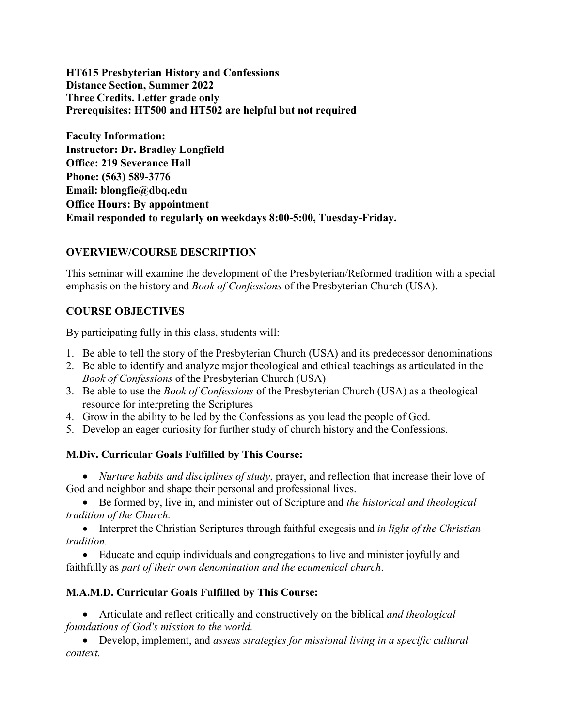**HT615 Presbyterian History and Confessions Distance Section, Summer 2022 Three Credits. Letter grade only Prerequisites: HT500 and HT502 are helpful but not required**

**Faculty Information: Instructor: Dr. Bradley Longfield Office: 219 Severance Hall Phone: (563) 589-3776 Email: blongfie@dbq.edu Office Hours: By appointment Email responded to regularly on weekdays 8:00-5:00, Tuesday-Friday.**

### **OVERVIEW/COURSE DESCRIPTION**

This seminar will examine the development of the Presbyterian/Reformed tradition with a special emphasis on the history and *Book of Confessions* of the Presbyterian Church (USA).

### **COURSE OBJECTIVES**

By participating fully in this class, students will:

- 1. Be able to tell the story of the Presbyterian Church (USA) and its predecessor denominations
- 2. Be able to identify and analyze major theological and ethical teachings as articulated in the *Book of Confessions* of the Presbyterian Church (USA)
- 3. Be able to use the *Book of Confessions* of the Presbyterian Church (USA) as a theological resource for interpreting the Scriptures
- 4. Grow in the ability to be led by the Confessions as you lead the people of God.
- 5. Develop an eager curiosity for further study of church history and the Confessions.

#### **M.Div. Curricular Goals Fulfilled by This Course:**

• *Nurture habits and disciplines of study*, prayer, and reflection that increase their love of God and neighbor and shape their personal and professional lives.

• Be formed by, live in, and minister out of Scripture and *the historical and theological tradition of the Church.*

• Interpret the Christian Scriptures through faithful exegesis and *in light of the Christian tradition.*

• Educate and equip individuals and congregations to live and minister joyfully and faithfully as *part of their own denomination and the ecumenical church*.

#### **M.A.M.D. Curricular Goals Fulfilled by This Course:**

• Articulate and reflect critically and constructively on the biblical *and theological foundations of God's mission to the world.*

• Develop, implement, and *assess strategies for missional living in a specific cultural context.*